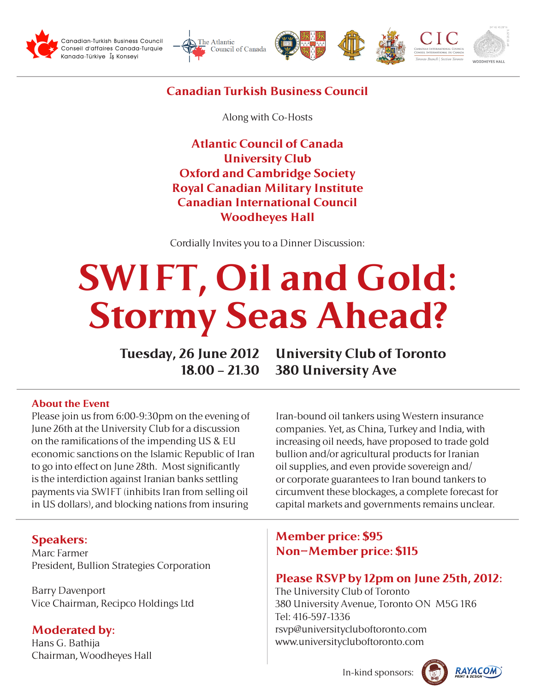









## **Canadian Turkish Business Council**

Along with Co-Hosts

**Atlantic Council of Canada University Club Oxford and Cambridge Society Royal Canadian Military Institute Canadian International Council Woodheyes Hall**

Cordially Invites you to a Dinner Discussion:

# **SWIFT, Oil and Gold: Stormy Seas Ahead?**

**Tuesday, 26 June 2012 18.00 – 21.30**

**University Club of Toronto 380 University Ave**

#### **About the Event**

Please join us from 6:00-9:30pm on the evening of June 26th at the University Club for a discussion on the ramifications of the impending US & EU economic sanctions on the Islamic Republic of Iran to go into effect on June 28th. Most significantly is the interdiction against Iranian banks settling payments via SWIFT (inhibits Iran from selling oil in US dollars), and blocking nations from insuring

#### **Speakers:**

Marc Farmer President, Bullion Strategies Corporation

Barry Davenport Vice Chairman, Recipco Holdings Ltd

**Moderated by:** Hans G. Bathija Chairman, Woodheyes Hall Iran-bound oil tankers using Western insurance companies. Yet, as China, Turkey and India, with increasing oil needs, have proposed to trade gold bullion and/or agricultural products for Iranian oil supplies, and even provide sovereign and/ or corporate guarantees to Iran bound tankers to circumvent these blockages, a complete forecast for capital markets and governments remains unclear.

### **Member price: \$95 Non-Member price: \$115**

## **Please RSVP by 12pm on June 25th, 2012:**

The University Club of Toronto 380 University Avenue, Toronto ON M5G 1R6 Tel: 416-597-1336 rsvp@universitycluboftoronto.com www.universitycluboftoronto.com